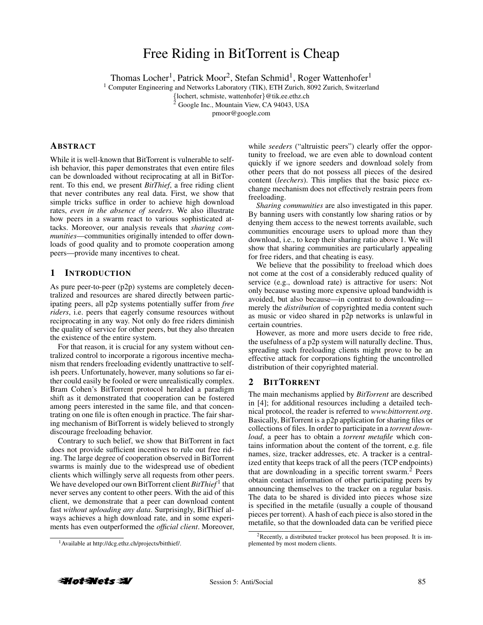# Free Riding in BitTorrent is Cheap

Thomas Locher<sup>1</sup>, Patrick Moor<sup>2</sup>, Stefan Schmid<sup>1</sup>, Roger Wattenhofer<sup>1</sup>

<sup>1</sup> Computer Engineering and Networks Laboratory (TIK), ETH Zurich, 8092 Zurich, Switzerland

{lochert, schmiste, wattenhofer}@tik.ee.ethz.ch

<sup>2</sup> Google Inc., Mountain View, CA 94043, USA

pmoor@google.com

#### ABSTRACT

While it is well-known that BitTorrent is vulnerable to selfish behavior, this paper demonstrates that even entire files can be downloaded without reciprocating at all in BitTorrent. To this end, we present *BitThief*, a free riding client that never contributes any real data. First, we show that simple tricks suffice in order to achieve high download rates, *even in the absence of seeders*. We also illustrate how peers in a swarm react to various sophisticated attacks. Moreover, our analysis reveals that *sharing communities*—communities originally intended to offer downloads of good quality and to promote cooperation among peers—provide many incentives to cheat.

# 1 INTRODUCTION

As pure peer-to-peer (p2p) systems are completely decentralized and resources are shared directly between participating peers, all p2p systems potentially suffer from *free riders*, i.e. peers that eagerly consume resources without reciprocating in any way. Not only do free riders diminish the quality of service for other peers, but they also threaten the existence of the entire system.

For that reason, it is crucial for any system without centralized control to incorporate a rigorous incentive mechanism that renders freeloading evidently unattractive to selfish peers. Unfortunately, however, many solutions so far either could easily be fooled or were unrealistically complex. Bram Cohen's BitTorrent protocol heralded a paradigm shift as it demonstrated that cooperation can be fostered among peers interested in the same file, and that concentrating on one file is often enough in practice. The fair sharing mechanism of BitTorrent is widely believed to strongly discourage freeloading behavior.

Contrary to such belief, we show that BitTorrent in fact does not provide sufficient incentives to rule out free riding. The large degree of cooperation observed in BitTorrent swarms is mainly due to the widespread use of obedient clients which willingly serve all requests from other peers. We have developed our own BitTorrent client *BitThief*<sup>1</sup> that never serves any content to other peers. With the aid of this client, we demonstrate that a peer can download content fast *without uploading any data*. Surprisingly, BitThief always achieves a high download rate, and in some experiments has even outperformed the *official client*. Moreover, while *seeders* ("altruistic peers") clearly offer the opportunity to freeload, we are even able to download content quickly if we ignore seeders and download solely from other peers that do not possess all pieces of the desired content (*leechers*). This implies that the basic piece exchange mechanism does not effectively restrain peers from freeloading.

*Sharing communities* are also investigated in this paper. By banning users with constantly low sharing ratios or by denying them access to the newest torrents available, such communities encourage users to upload more than they download, i.e., to keep their sharing ratio above 1. We will show that sharing communities are particularly appealing for free riders, and that cheating is easy.

We believe that the possibility to freeload which does not come at the cost of a considerably reduced quality of service (e.g., download rate) is attractive for users: Not only because wasting more expensive upload bandwidth is avoided, but also because—in contrast to downloading merely the *distribution* of copyrighted media content such as music or video shared in p2p networks is unlawful in certain countries.

However, as more and more users decide to free ride, the usefulness of a p2p system will naturally decline. Thus, spreading such freeloading clients might prove to be an effective attack for corporations fighting the uncontrolled distribution of their copyrighted material.

#### 2 BITTORRENT

The main mechanisms applied by *BitTorrent* are described in [4]; for additional resources including a detailed technical protocol, the reader is referred to *www.bittorrent.org*. Basically, BitTorrent is a p2p application for sharing files or collections of files. In order to participate in a *torrent download*, a peer has to obtain a *torrent metafile* which contains information about the content of the torrent, e.g. file names, size, tracker addresses, etc. A tracker is a centralized entity that keeps track of all the peers (TCP endpoints) that are downloading in a specific torrent swarm. $2$  Peers obtain contact information of other participating peers by announcing themselves to the tracker on a regular basis. The data to be shared is divided into pieces whose size is specified in the metafile (usually a couple of thousand pieces per torrent). A hash of each piece is also stored in the metafile, so that the downloaded data can be verified piece

 $2$ Recently, a distributed tracker protocol has been proposed. It is implemented by most modern clients.



<sup>1</sup>Available at http://dcg.ethz.ch/projects/bitthief/.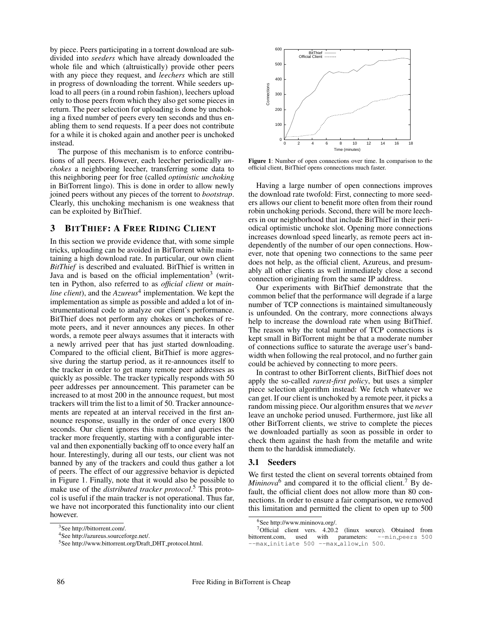by piece. Peers participating in a torrent download are subdivided into *seeders* which have already downloaded the whole file and which (altruistically) provide other peers with any piece they request, and *leechers* which are still in progress of downloading the torrent. While seeders upload to all peers (in a round robin fashion), leechers upload only to those peers from which they also get some pieces in return. The peer selection for uploading is done by unchoking a fixed number of peers every ten seconds and thus enabling them to send requests. If a peer does not contribute for a while it is choked again and another peer is unchoked instead.

The purpose of this mechanism is to enforce contributions of all peers. However, each leecher periodically *unchokes* a neighboring leecher, transferring some data to this neighboring peer for free (called *optimistic unchoking* in BitTorrent lingo). This is done in order to allow newly joined peers without any pieces of the torrent to *bootstrap*. Clearly, this unchoking mechanism is one weakness that can be exploited by BitThief.

# 3 BITTHIEF: A FREE RIDING CLIENT

In this section we provide evidence that, with some simple tricks, uploading can be avoided in BitTorrent while maintaining a high download rate. In particular, our own client *BitThief* is described and evaluated. BitThief is written in Java and is based on the official implementation<sup>3</sup> (written in Python, also referred to as *official client* or *mainline client*), and the *Azureus*<sup>4</sup> implementation. We kept the implementation as simple as possible and added a lot of instrumentational code to analyze our client's performance. BitThief does not perform any chokes or unchokes of remote peers, and it never announces any pieces. In other words, a remote peer always assumes that it interacts with a newly arrived peer that has just started downloading. Compared to the official client, BitThief is more aggressive during the startup period, as it re-announces itself to the tracker in order to get many remote peer addresses as quickly as possible. The tracker typically responds with 50 peer addresses per announcement. This parameter can be increased to at most 200 in the announce request, but most trackers will trim the list to a limit of 50. Tracker announcements are repeated at an interval received in the first announce response, usually in the order of once every 1800 seconds. Our client ignores this number and queries the tracker more frequently, starting with a configurable interval and then exponentially backing off to once every half an hour. Interestingly, during all our tests, our client was not banned by any of the trackers and could thus gather a lot of peers. The effect of our aggressive behavior is depicted in Figure 1. Finally, note that it would also be possible to make use of the *distributed tracker protocol*. <sup>5</sup> This protocol is useful if the main tracker is not operational. Thus far, we have not incorporated this functionality into our client however.



Figure 1: Number of open connections over time. In comparison to the official client, BitThief opens connections much faster.

Having a large number of open connections improves the download rate twofold: First, connecting to more seeders allows our client to benefit more often from their round robin unchoking periods. Second, there will be more leechers in our neighborhood that include BitThief in their periodical optimistic unchoke slot. Opening more connections increases download speed linearly, as remote peers act independently of the number of our open connections. However, note that opening two connections to the same peer does not help, as the official client, Azureus, and presumably all other clients as well immediately close a second connection originating from the same IP address.

Our experiments with BitThief demonstrate that the common belief that the performance will degrade if a large number of TCP connections is maintained simultaneously is unfounded. On the contrary, more connections always help to increase the download rate when using BitThief. The reason why the total number of TCP connections is kept small in BitTorrent might be that a moderate number of connections suffice to saturate the average user's bandwidth when following the real protocol, and no further gain could be achieved by connecting to more peers.

In contrast to other BitTorrent clients, BitThief does not apply the so-called *rarest-first policy*, but uses a simpler piece selection algorithm instead: We fetch whatever we can get. If our client is unchoked by a remote peer, it picks a random missing piece. Our algorithm ensures that we *never* leave an unchoke period unused. Furthermore, just like all other BitTorrent clients, we strive to complete the pieces we downloaded partially as soon as possible in order to check them against the hash from the metafile and write them to the harddisk immediately.

## 3.1 Seeders

We first tested the client on several torrents obtained from Mininova<sup>6</sup> and compared it to the official client.<sup>7</sup> By default, the official client does not allow more than 80 connections. In order to ensure a fair comparison, we removed this limitation and permitted the client to open up to 500

<sup>3</sup>See http://bittorrent.com/.

<sup>4</sup>See http://azureus.sourceforge.net/.

<sup>&</sup>lt;sup>5</sup>See http://www.bittorrent.org/Draft\_DHT\_protocol.html.

<sup>&</sup>lt;sup>6</sup>See http://www.mininova.org/.

 $70$ fficial client vers. 4.20.2 (linux source). Obtained from orrent.com, used with parameters:  $-\text{min.peers}$  500 bittorrent.com, used with parameters: --min\_peers 500 --max\_initiate 500 --max\_allow\_in 500.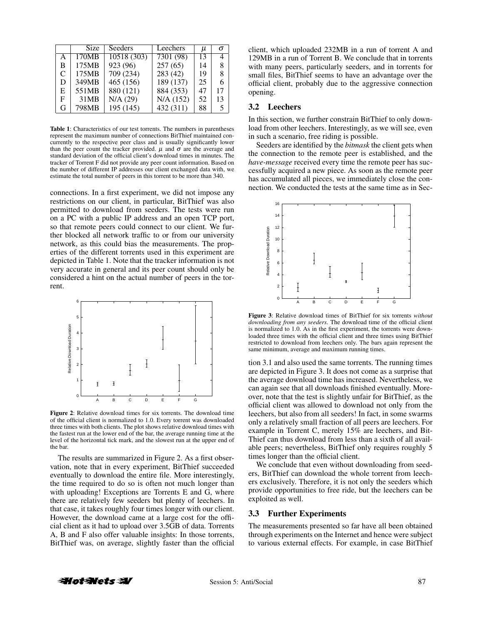|              | Size  | Seeders                  | Leechers    | и  | σ              |
|--------------|-------|--------------------------|-------------|----|----------------|
| $\mathsf{A}$ | 170MB | $\overline{10518}$ (303) | 7301(98)    | 13 | $\overline{4}$ |
| B            | 175MB | 923 (96)                 | 257(65)     | 14 | 8              |
| C            | 175MB | 709 (234)                | 283 (42)    | 19 | 8              |
| D            | 349MB | 465 (156)                | 189 (137)   | 25 | 6              |
| E            | 551MB | 880 (121)                | 884 (353)   | 47 | 17             |
| F            | 31MB  | N/A (29)                 | $N/A$ (152) | 52 | 13             |
| G            | 798MB | 195 (145)                | 432 (311)   | 88 |                |

Table 1: Characteristics of our test torrents. The numbers in parentheses represent the maximum number of connections BitThief maintained concurrently to the respective peer class and is usually significantly lower than the peer count the tracker provided.  $\mu$  and  $\sigma$  are the average and standard deviation of the official client's download times in minutes. The tracker of Torrent F did not provide any peer count information. Based on the number of different IP addresses our client exchanged data with, we estimate the total number of peers in this torrent to be more than 340.

connections. In a first experiment, we did not impose any restrictions on our client, in particular, BitThief was also permitted to download from seeders. The tests were run on a PC with a public IP address and an open TCP port, so that remote peers could connect to our client. We further blocked all network traffic to or from our university network, as this could bias the measurements. The properties of the different torrents used in this experiment are depicted in Table 1. Note that the tracker information is not very accurate in general and its peer count should only be considered a hint on the actual number of peers in the torrent.



Figure 2: Relative download times for six torrents. The download time of the official client is normalized to 1.0. Every torrent was downloaded three times with both clients. The plot shows relative download times with the fastest run at the lower end of the bar, the average running time at the level of the horizontal tick mark, and the slowest run at the upper end of the bar.

The results are summarized in Figure 2. As a first observation, note that in every experiment, BitThief succeeded eventually to download the entire file. More interestingly, the time required to do so is often not much longer than with uploading! Exceptions are Torrents E and G, where there are relatively few seeders but plenty of leechers. In that case, it takes roughly four times longer with our client. However, the download came at a large cost for the official client as it had to upload over 3.5GB of data. Torrents A, B and F also offer valuable insights: In those torrents, BitThief was, on average, slightly faster than the official client, which uploaded 232MB in a run of torrent A and 129MB in a run of Torrent B. We conclude that in torrents with many peers, particularly seeders, and in torrents for small files, BitThief seems to have an advantage over the official client, probably due to the aggressive connection opening.

#### 3.2 Leechers

In this section, we further constrain BitThief to only download from other leechers. Interestingly, as we will see, even in such a scenario, free riding is possible.

Seeders are identified by the *bitmask* the client gets when the connection to the remote peer is established, and the *have-message* received every time the remote peer has successfully acquired a new piece. As soon as the remote peer has accumulated all pieces, we immediately close the connection. We conducted the tests at the same time as in Sec-



Figure 3: Relative download times of BitThief for six torrents *without downloading from any seeders*. The download time of the official client is normalized to 1.0. As in the first experiment, the torrents were downloaded three times with the official client and three times using BitThief restricted to download from leechers only. The bars again represent the same minimum, average and maximum running times.

tion 3.1 and also used the same torrents. The running times are depicted in Figure 3. It does not come as a surprise that the average download time has increased. Nevertheless, we can again see that all downloads finished eventually. Moreover, note that the test is slightly unfair for BitThief, as the official client was allowed to download not only from the leechers, but also from all seeders! In fact, in some swarms only a relatively small fraction of all peers are leechers. For example in Torrent C, merely 15% are leechers, and Bit-Thief can thus download from less than a sixth of all available peers; nevertheless, BitThief only requires roughly 5 times longer than the official client.

We conclude that even without downloading from seeders, BitThief can download the whole torrent from leechers exclusively. Therefore, it is not only the seeders which provide opportunities to free ride, but the leechers can be exploited as well.

## 3.3 Further Experiments

The measurements presented so far have all been obtained through experiments on the Internet and hence were subject to various external effects. For example, in case BitThief

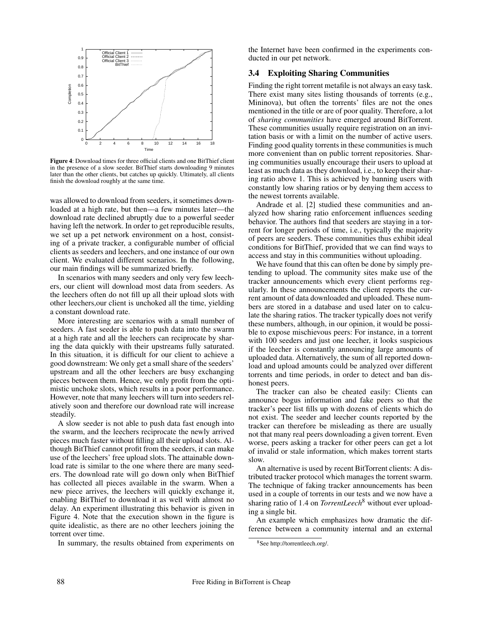

Figure 4: Download times for three official clients and one BitThief client in the presence of a slow seeder. BitThief starts downloading 9 minutes later than the other clients, but catches up quickly. Ultimately, all clients finish the download roughly at the same time.

was allowed to download from seeders, it sometimes downloaded at a high rate, but then—a few minutes later—the download rate declined abruptly due to a powerful seeder having left the network. In order to get reproducible results, we set up a pet network environment on a host, consisting of a private tracker, a configurable number of official clients as seeders and leechers, and one instance of our own client. We evaluated different scenarios. In the following, our main findings will be summarized briefly.

In scenarios with many seeders and only very few leechers, our client will download most data from seeders. As the leechers often do not fill up all their upload slots with other leechers,our client is unchoked all the time, yielding a constant download rate.

More interesting are scenarios with a small number of seeders. A fast seeder is able to push data into the swarm at a high rate and all the leechers can reciprocate by sharing the data quickly with their upstreams fully saturated. In this situation, it is difficult for our client to achieve a good downstream: We only get a small share of the seeders' upstream and all the other leechers are busy exchanging pieces between them. Hence, we only profit from the optimistic unchoke slots, which results in a poor performance. However, note that many leechers will turn into seeders relatively soon and therefore our download rate will increase steadily.

A slow seeder is not able to push data fast enough into the swarm, and the leechers reciprocate the newly arrived pieces much faster without filling all their upload slots. Although BitThief cannot profit from the seeders, it can make use of the leechers' free upload slots. The attainable download rate is similar to the one where there are many seeders. The download rate will go down only when BitThief has collected all pieces available in the swarm. When a new piece arrives, the leechers will quickly exchange it, enabling BitThief to download it as well with almost no delay. An experiment illustrating this behavior is given in Figure 4. Note that the execution shown in the figure is quite idealistic, as there are no other leechers joining the torrent over time.

In summary, the results obtained from experiments on

the Internet have been confirmed in the experiments conducted in our pet network.

# 3.4 Exploiting Sharing Communities

Finding the right torrent metafile is not always an easy task. There exist many sites listing thousands of torrents (e.g., Mininova), but often the torrents' files are not the ones mentioned in the title or are of poor quality. Therefore, a lot of *sharing communities* have emerged around BitTorrent. These communities usually require registration on an invitation basis or with a limit on the number of active users. Finding good quality torrents in these communities is much more convenient than on public torrent repositories. Sharing communities usually encourage their users to upload at least as much data as they download, i.e., to keep their sharing ratio above 1. This is achieved by banning users with constantly low sharing ratios or by denying them access to the newest torrents available.

Andrade et al. [2] studied these communities and analyzed how sharing ratio enforcement influences seeding behavior. The authors find that seeders are staying in a torrent for longer periods of time, i.e., typically the majority of peers are seeders. These communities thus exhibit ideal conditions for BitThief, provided that we can find ways to access and stay in this communities without uploading.

We have found that this can often be done by simply pretending to upload. The community sites make use of the tracker announcements which every client performs regularly. In these announcements the client reports the current amount of data downloaded and uploaded. These numbers are stored in a database and used later on to calculate the sharing ratios. The tracker typically does not verify these numbers, although, in our opinion, it would be possible to expose mischievous peers: For instance, in a torrent with 100 seeders and just one leecher, it looks suspicious if the leecher is constantly announcing large amounts of uploaded data. Alternatively, the sum of all reported download and upload amounts could be analyzed over different torrents and time periods, in order to detect and ban dishonest peers.

The tracker can also be cheated easily: Clients can announce bogus information and fake peers so that the tracker's peer list fills up with dozens of clients which do not exist. The seeder and leecher counts reported by the tracker can therefore be misleading as there are usually not that many real peers downloading a given torrent. Even worse, peers asking a tracker for other peers can get a lot of invalid or stale information, which makes torrent starts slow.

An alternative is used by recent BitTorrent clients: A distributed tracker protocol which manages the torrent swarm. The technique of faking tracker announcements has been used in a couple of torrents in our tests and we now have a sharing ratio of 1.4 on *TorrentLeech*<sup>8</sup> without ever uploading a single bit.

An example which emphasizes how dramatic the difference between a community internal and an external

<sup>8</sup>See http://torrentleech.org/.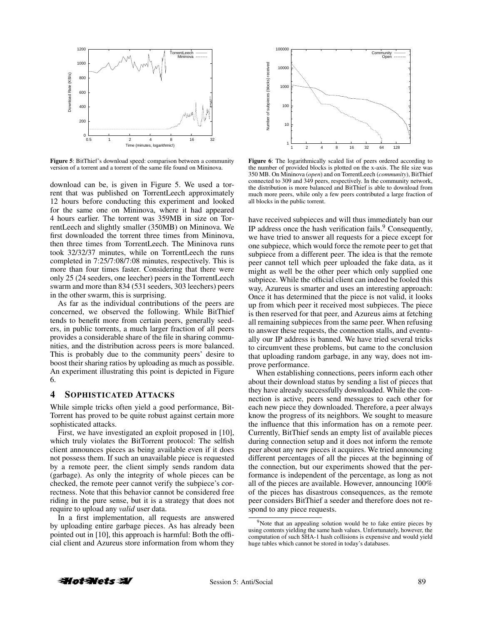

Figure 5: BitThief's download speed: comparison between a community version of a torrent and a torrent of the same file found on Mininova.

download can be, is given in Figure 5. We used a torrent that was published on TorrentLeech approximately 12 hours before conducting this experiment and looked for the same one on Mininova, where it had appeared 4 hours earlier. The torrent was 359MB in size on TorrentLeech and slightly smaller (350MB) on Mininova. We first downloaded the torrent three times from Mininova, then three times from TorrentLeech. The Mininova runs took 32/32/37 minutes, while on TorrentLeech the runs completed in 7:25/7:08/7:08 minutes, respectively. This is more than four times faster. Considering that there were only 25 (24 seeders, one leecher) peers in the TorrentLeech swarm and more than 834 (531 seeders, 303 leechers) peers in the other swarm, this is surprising.

As far as the individual contributions of the peers are concerned, we observed the following. While BitThief tends to benefit more from certain peers, generally seeders, in public torrents, a much larger fraction of all peers provides a considerable share of the file in sharing communities, and the distribution across peers is more balanced. This is probably due to the community peers' desire to boost their sharing ratios by uploading as much as possible. An experiment illustrating this point is depicted in Figure 6.

# 4 SOPHISTICATED ATTACKS

While simple tricks often yield a good performance, Bit-Torrent has proved to be quite robust against certain more sophisticated attacks.

First, we have investigated an exploit proposed in [10], which truly violates the BitTorrent protocol: The selfish client announces pieces as being available even if it does not possess them. If such an unavailable piece is requested by a remote peer, the client simply sends random data (garbage). As only the integrity of whole pieces can be checked, the remote peer cannot verify the subpiece's correctness. Note that this behavior cannot be considered free riding in the pure sense, but it is a strategy that does not require to upload any *valid* user data.

In a first implementation, all requests are answered by uploading entire garbage pieces. As has already been pointed out in [10], this approach is harmful: Both the official client and Azureus store information from whom they



Figure 6: The logarithmically scaled list of peers ordered according to the number of provided blocks is plotted on the x-axis. The file size was 350 MB. On Mininova (*open*) and on TorrentLeech (*community*), BitThief connected to 309 and 349 peers, respectively. In the community network, the distribution is more balanced and BitThief is able to download from much more peers, while only a few peers contributed a large fraction of all blocks in the public torrent.

have received subpieces and will thus immediately ban our IP address once the hash verification fails. $9$  Consequently, we have tried to answer all requests for a piece except for one subpiece, which would force the remote peer to get that subpiece from a different peer. The idea is that the remote peer cannot tell which peer uploaded the fake data, as it might as well be the other peer which only supplied one subpiece. While the official client can indeed be fooled this way, Azureus is smarter and uses an interesting approach: Once it has determined that the piece is not valid, it looks up from which peer it received most subpieces. The piece is then reserved for that peer, and Azureus aims at fetching all remaining subpieces from the same peer. When refusing to answer these requests, the connection stalls, and eventually our IP address is banned. We have tried several tricks to circumvent these problems, but came to the conclusion that uploading random garbage, in any way, does not improve performance.

When establishing connections, peers inform each other about their download status by sending a list of pieces that they have already successfully downloaded. While the connection is active, peers send messages to each other for each new piece they downloaded. Therefore, a peer always know the progress of its neighbors. We sought to measure the influence that this information has on a remote peer. Currently, BitThief sends an empty list of available pieces during connection setup and it does not inform the remote peer about any new pieces it acquires. We tried announcing different percentages of all the pieces at the beginning of the connection, but our experiments showed that the performance is independent of the percentage, as long as not all of the pieces are available. However, announcing 100% of the pieces has disastrous consequences, as the remote peer considers BitThief a seeder and therefore does not respond to any piece requests.

<sup>&</sup>lt;sup>9</sup>Note that an appealing solution would be to fake entire pieces by using contents yielding the same hash values. Unfortunately, however, the computation of such SHA-1 hash collisions is expensive and would yield huge tables which cannot be stored in today's databases.